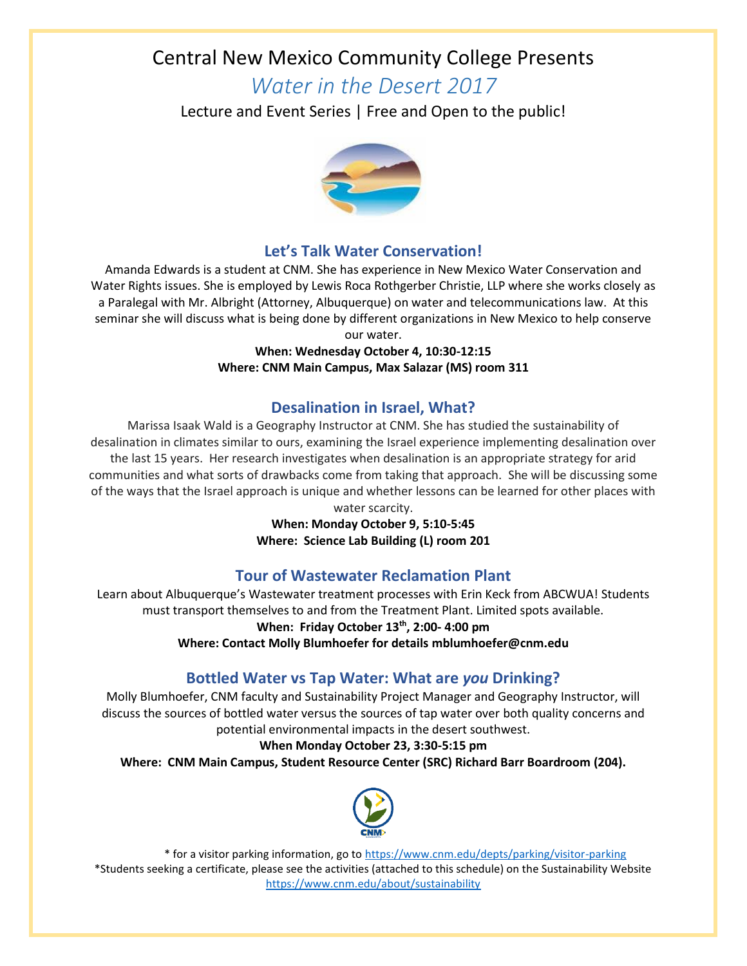# Central New Mexico Community College Presents

*Water in the Desert 2017*

Lecture and Event Series | Free and Open to the public!



## **Let's Talk Water Conservation!**

Amanda Edwards is a student at CNM. She has experience in New Mexico Water Conservation and Water Rights issues. She is employed by Lewis Roca Rothgerber Christie, LLP where she works closely as a Paralegal with Mr. Albright (Attorney, Albuquerque) on water and telecommunications law. At this seminar she will discuss what is being done by different organizations in New Mexico to help conserve our water.

> **When: Wednesday October 4, 10:30-12:15 Where: CNM Main Campus, Max Salazar (MS) room 311**

## **Desalination in Israel, What?**

Marissa Isaak Wald is a Geography Instructor at CNM. She has studied the sustainability of desalination in climates similar to ours, examining the Israel experience implementing desalination over the last 15 years. Her research investigates when desalination is an appropriate strategy for arid communities and what sorts of drawbacks come from taking that approach. She will be discussing some of the ways that the Israel approach is unique and whether lessons can be learned for other places with water scarcity.

**When: Monday October 9, 5:10-5:45 Where: Science Lab Building (L) room 201**

## **Tour of Wastewater Reclamation Plant**

Learn about Albuquerque's Wastewater treatment processes with Erin Keck from ABCWUA! Students must transport themselves to and from the Treatment Plant. Limited spots available.

#### **When: Friday October 13th, 2:00- 4:00 pm**

**Where: Contact Molly Blumhoefer for details mblumhoefer@cnm.edu**

## **Bottled Water vs Tap Water: What are** *you* **Drinking?**

Molly Blumhoefer, CNM faculty and Sustainability Project Manager and Geography Instructor, will discuss the sources of bottled water versus the sources of tap water over both quality concerns and potential environmental impacts in the desert southwest.

#### **When Monday October 23, 3:30-5:15 pm**

**Where: CNM Main Campus, Student Resource Center (SRC) Richard Barr Boardroom (204).**



\* for a visitor parking information, go to<https://www.cnm.edu/depts/parking/visitor-parking> \*Students seeking a certificate, please see the activities (attached to this schedule) on the Sustainability Website <https://www.cnm.edu/about/sustainability>